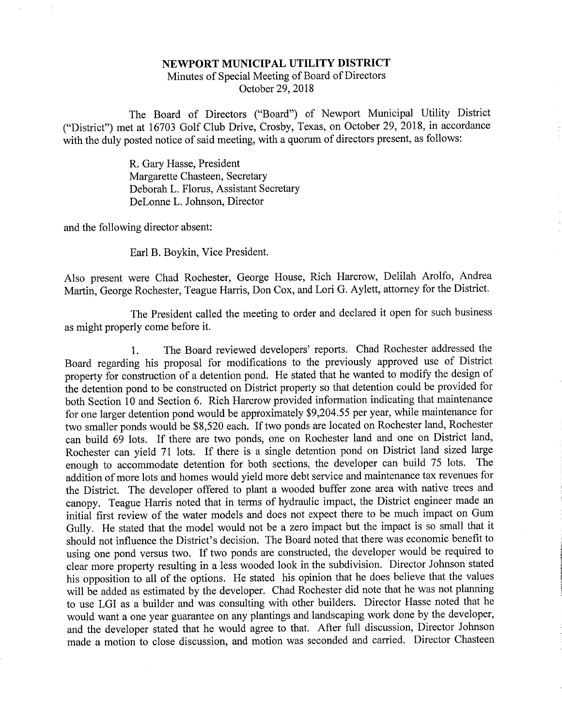## NEWPORT MUNICIPAL UTILITY DISTRICT Minutes of Special Meeting of Board of DirectorsOctober 29, 2018

The Board of Directors ("Board") of Newport Municipal Utility District ("District") met at 16703 Golf Club Drive, Crosby, Texas, on October 29, 2018, in accordancewith the duly posted notice of said meeting, with a quorum of directors present, as follows:

> R. Gary Hasse, President Margarette Chasteen, Secretary Deborah L. Floms, Assistant SecretaryDeLonne L. Johnson, Director

and the following director absent:

Earl B. Boykin, Vice President.

Also present were Chad Rochester, George House, Rich Harcrow, Delilah Arolfo, AndreaMartin, George Rochester, Teague Harris, Don Cox, and Lori G. Aylett, attorney for the District.

The President called the meeting to order and declared it open for such businessas might properly come before it.

1. The Board reviewed developers' reports. Chad Rochester addressed the Board regarding his proposal for modifications to the previously approved use of Districtproperty for construction of a detention pond. He stated that he wanted to modify the design of the detention pond to be constructed on District property so that detention could be provided for both Section 10 and Section 6. Rich Harcrow provided information indicating that maintenance for one larger detention pond would be approximately \$9,204.55 per year, while maintenance for two smaller ponds would be \$8,520 each. If two ponds are located on Rochester land, Rochester can build 69 lots. If there are two ponds, one on Rochester land and one on District land,Rochester can yield 71 lots. If there is a single detention pond on District land sized large enough to accommodate detention for both sections, the developer can build 75 lots. Theaddition of more lots and homes would yield more debt service and maintenance tax revenues for the District. The developer offered to plant a wooded buffer zone area with native trees and canopy. Teague Harris noted that in terms of hydraulic impact, the District engineer made an initial first review of the water models and does not expect there to be much impact on Gum Gully. He stated that the model would not be a zero impact but the impact is so small that it should not influence the District's decision. The Board noted that there was economic benefit to using one pond versus two. If two ponds are constructed, the developer would be required to clear more property resulting in a less wooded look in the subdivision. Director Johnson stated his opposition to all of the options. He stated his opinion that he does believe that the valueswill be added as estimated by the developer. Chad Rochester did note that he was not planning to use LGI as a builder and was consulting with other builders. Director Hasse noted that hewould want a one year guarantee on any plantings and landscaping work done by the developer and the developer stated that he would agree to that. After full discussion. Director Johnsonmade a motion to close discussion, and motion was seconded and carried. Director Chasteen